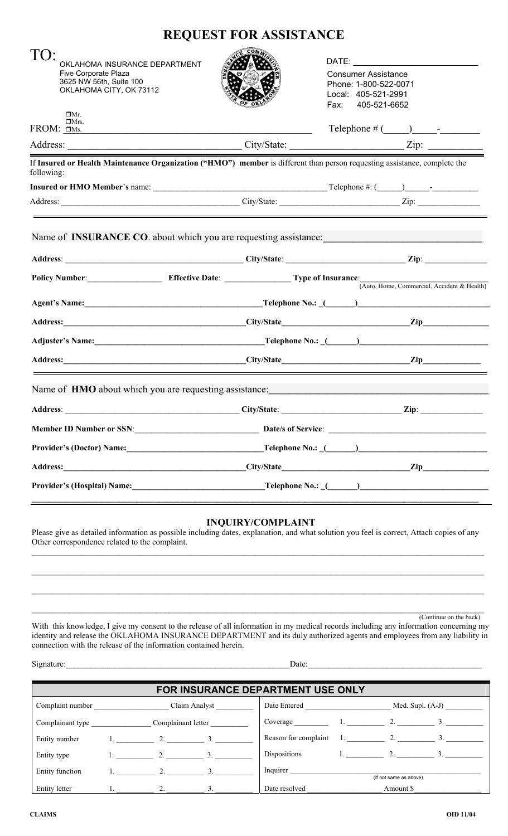## **REQUEST FOR ASSISTANCE**

| TO:                                                          |                                                                                                                        |                                                                                                                                                                                                                                                                                             |
|--------------------------------------------------------------|------------------------------------------------------------------------------------------------------------------------|---------------------------------------------------------------------------------------------------------------------------------------------------------------------------------------------------------------------------------------------------------------------------------------------|
| OKLAHOMA INSURANCE DEPARTMENT<br><b>Five Corporate Plaza</b> |                                                                                                                        | <b>Consumer Assistance</b>                                                                                                                                                                                                                                                                  |
| 3625 NW 56th, Suite 100<br>OKLAHOMA CITY, OK 73112           |                                                                                                                        | Phone: 1-800-522-0071                                                                                                                                                                                                                                                                       |
|                                                              |                                                                                                                        | Local: 405-521-2991<br>Fax: 405-521-6652                                                                                                                                                                                                                                                    |
| $\Box$ Mr.<br>$\Box$ Mrs.                                    |                                                                                                                        |                                                                                                                                                                                                                                                                                             |
| $FROM:$ $\Box$ Ms.                                           | <u> 1989 - Johann Stoff, deutscher Stoffen und der Stoffen und der Stoffen und der Stoffen und der Stoffen und der</u> | $\text{Telephone} \# (\_\_\_\_\_\_\_\_$                                                                                                                                                                                                                                                     |
|                                                              |                                                                                                                        |                                                                                                                                                                                                                                                                                             |
| following:                                                   |                                                                                                                        | If Insured or Health Maintenance Organization ("HMO") member is different than person requesting assistance, complete the                                                                                                                                                                   |
|                                                              |                                                                                                                        | <b>Insured or HMO Member's</b> name: $\frac{1}{2}$ and $\frac{1}{2}$ and $\frac{1}{2}$ and $\frac{1}{2}$ and $\frac{1}{2}$ and $\frac{1}{2}$ and $\frac{1}{2}$ and $\frac{1}{2}$ and $\frac{1}{2}$ and $\frac{1}{2}$ and $\frac{1}{2}$ and $\frac{1}{2}$ and $\frac{1}{2}$ and $\frac{1}{2$ |
|                                                              | <u> 1989 - Johann Stein, marwolaethau a bhann an t-Amhair ann an t-Amhair an t-Amhair an t-Amhair an t-Amhair an</u>   |                                                                                                                                                                                                                                                                                             |
|                                                              |                                                                                                                        | Name of INSURANCE CO. about which you are requesting assistance:                                                                                                                                                                                                                            |
|                                                              |                                                                                                                        |                                                                                                                                                                                                                                                                                             |
|                                                              | Policy Number: Effective Date: Type of Insurance:                                                                      | (Auto, Home, Commercial, Accident & Health)                                                                                                                                                                                                                                                 |
|                                                              |                                                                                                                        | Agent's Name: <u>Name: Elephone No.: (Name: Elephone No.: (Name: Name: Elephone No.: (Name: Elephone No.: (Name: Name: Elephone No.: (Name: Elephone No.: 2014)</u>                                                                                                                         |
|                                                              |                                                                                                                        | Address: <u>City/State</u> City/State <b>City/State City/State City</b>                                                                                                                                                                                                                     |
|                                                              |                                                                                                                        |                                                                                                                                                                                                                                                                                             |
|                                                              |                                                                                                                        |                                                                                                                                                                                                                                                                                             |
|                                                              |                                                                                                                        |                                                                                                                                                                                                                                                                                             |
|                                                              |                                                                                                                        | Name of HMO about which you are requesting assistance:___________________________                                                                                                                                                                                                           |
|                                                              |                                                                                                                        |                                                                                                                                                                                                                                                                                             |
|                                                              |                                                                                                                        |                                                                                                                                                                                                                                                                                             |
|                                                              |                                                                                                                        |                                                                                                                                                                                                                                                                                             |
|                                                              |                                                                                                                        |                                                                                                                                                                                                                                                                                             |

## **INQUIRY/COMPLAINT**

Please give as detailed information as possible including dates, explanation, and what solution you feel is correct, Attach copies of any Other correspondence related to the complaint.  $\mathcal{L}_\mathcal{L} = \{ \mathcal{L}_\mathcal{L} = \{ \mathcal{L}_\mathcal{L} = \{ \mathcal{L}_\mathcal{L} = \{ \mathcal{L}_\mathcal{L} = \{ \mathcal{L}_\mathcal{L} = \{ \mathcal{L}_\mathcal{L} = \{ \mathcal{L}_\mathcal{L} = \{ \mathcal{L}_\mathcal{L} = \{ \mathcal{L}_\mathcal{L} = \{ \mathcal{L}_\mathcal{L} = \{ \mathcal{L}_\mathcal{L} = \{ \mathcal{L}_\mathcal{L} = \{ \mathcal{L}_\mathcal{L} = \{ \mathcal{L}_\mathcal{$ 

 $\mathcal{L}_\mathcal{L} = \{ \mathcal{L}_\mathcal{L} = \{ \mathcal{L}_\mathcal{L} = \{ \mathcal{L}_\mathcal{L} = \{ \mathcal{L}_\mathcal{L} = \{ \mathcal{L}_\mathcal{L} = \{ \mathcal{L}_\mathcal{L} = \{ \mathcal{L}_\mathcal{L} = \{ \mathcal{L}_\mathcal{L} = \{ \mathcal{L}_\mathcal{L} = \{ \mathcal{L}_\mathcal{L} = \{ \mathcal{L}_\mathcal{L} = \{ \mathcal{L}_\mathcal{L} = \{ \mathcal{L}_\mathcal{L} = \{ \mathcal{L}_\mathcal{$ 

 $\mathcal{L}_\text{max} = \frac{1}{2} \sum_{i=1}^n \mathcal{L}_\text{max} = \frac{1}{2} \sum_{i=1}^n \mathcal{L}_\text{max} = \frac{1}{2} \sum_{i=1}^n \mathcal{L}_\text{max} = \frac{1}{2} \sum_{i=1}^n \mathcal{L}_\text{max} = \frac{1}{2} \sum_{i=1}^n \mathcal{L}_\text{max} = \frac{1}{2} \sum_{i=1}^n \mathcal{L}_\text{max} = \frac{1}{2} \sum_{i=1}^n \mathcal{L}_\text{max} = \frac{1}{2} \sum_{i=$ (Continue on the back)

With this knowledge, I give my consent to the release of all information in my medical records including any information concerning my identity and release the OKLAHOMA INSURANCE DEPARTMENT and its duly authorized agents and employees from any liability in connection with the release of the information contained herein.

Signature:\_\_\_\_\_\_\_\_\_\_\_\_\_\_\_\_\_\_\_\_\_\_\_\_\_\_\_\_\_\_\_\_\_\_\_\_\_\_\_\_\_\_\_\_\_\_\_\_\_\_\_\_\_\_Date:\_\_\_\_\_\_\_\_\_\_\_\_\_\_\_\_\_\_\_\_\_\_\_\_\_\_\_\_\_\_\_\_\_\_\_\_\_\_\_\_\_\_ Signature:

| FOR INSURANCE DEPARTMENT USE ONLY      |  |                  |  |                         |                               |  |                        |            |  |  |  |
|----------------------------------------|--|------------------|--|-------------------------|-------------------------------|--|------------------------|------------|--|--|--|
| Complaint number<br>Claim Analyst      |  |                  |  |                         |                               |  | Med. Supl. $(A-J)$     |            |  |  |  |
| Complainant letter<br>Complainant type |  |                  |  | Coverage $1.$ $2.$ $3.$ |                               |  |                        |            |  |  |  |
| Entity number                          |  | 1. $2.3$         |  |                         | Reason for complaint 1. 2. 3. |  |                        |            |  |  |  |
| Entity type                            |  | 1. $2.$ 3.       |  |                         | Dispositions                  |  |                        | 1. $2.$ 3. |  |  |  |
| Entity function                        |  | 1. $2.3$         |  |                         | Inquirer                      |  | (If not same as above) |            |  |  |  |
| Entity letter                          |  | $\overline{2}$ . |  |                         | Date resolved                 |  | Amount \$              |            |  |  |  |